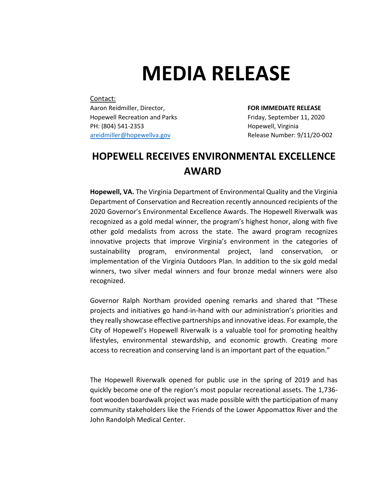## **MEDIA RELEASE**

## Contact:

Aaron Reidmiller, Director, **FOR IMMEDIATE RELEASE** Hopewell Recreation and Parks Friday, September 11, 2020 PH: (804) 541-2353 **Hopewell**, Virginia [areidmiller@hopewellva.gov](mailto:areidmiller@hopewellva.gov) Release Number: 9/11/20-002

## **HOPEWELL RECEIVES ENVIRONMENTAL EXCELLENCE AWARD**

**Hopewell, VA.** The Virginia Department of Environmental Quality and the Virginia Department of Conservation and Recreation recently announced recipients of the 2020 Governor's Environmental Excellence Awards. The Hopewell Riverwalk was recognized as a gold medal winner, the program's highest honor, along with five other gold medalists from across the state. The award program recognizes innovative projects that improve Virginia's environment in the categories of sustainability program, environmental project, land conservation, or implementation of the Virginia Outdoors Plan. In addition to the six gold medal winners, two silver medal winners and four bronze medal winners were also recognized.

Governor Ralph Northam provided opening remarks and shared that "These projects and initiatives go hand-in-hand with our administration's priorities and they really showcase effective partnerships and innovative ideas. For example, the City of Hopewell's Hopewell Riverwalk is a valuable tool for promoting healthy lifestyles, environmental stewardship, and economic growth. Creating more access to recreation and conserving land is an important part of the equation."

The Hopewell Riverwalk opened for public use in the spring of 2019 and has quickly become one of the region's most popular recreational assets. The 1,736 foot wooden boardwalk project was made possible with the participation of many community stakeholders like the Friends of the Lower Appomattox River and the John Randolph Medical Center.